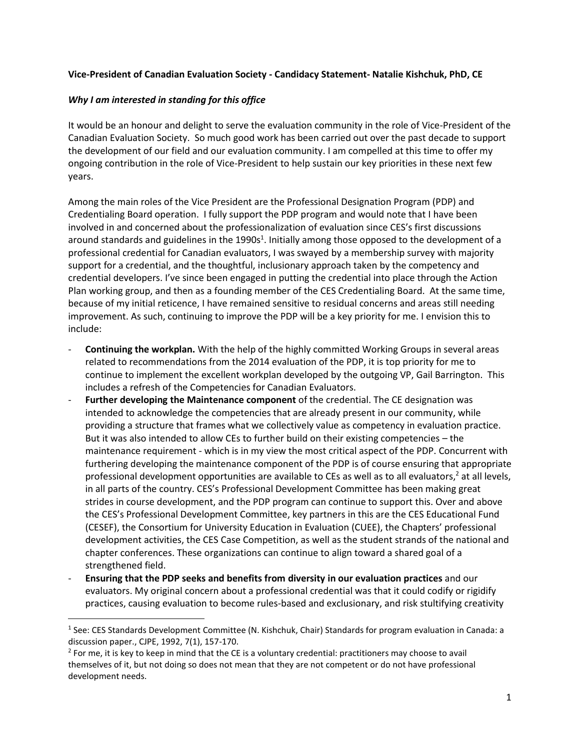## **Vice-President of Canadian Evaluation Society - Candidacy Statement- Natalie Kishchuk, PhD, CE**

### *Why I am interested in standing for this office*

l

It would be an honour and delight to serve the evaluation community in the role of Vice-President of the Canadian Evaluation Society. So much good work has been carried out over the past decade to support the development of our field and our evaluation community. I am compelled at this time to offer my ongoing contribution in the role of Vice-President to help sustain our key priorities in these next few years.

Among the main roles of the Vice President are the Professional Designation Program (PDP) and Credentialing Board operation. I fully support the PDP program and would note that I have been involved in and concerned about the professionalization of evaluation since CES's first discussions around standards and guidelines in the 1990s<sup>1</sup>. Initially among those opposed to the development of a professional credential for Canadian evaluators, I was swayed by a membership survey with majority support for a credential, and the thoughtful, inclusionary approach taken by the competency and credential developers. I've since been engaged in putting the credential into place through the Action Plan working group, and then as a founding member of the CES Credentialing Board. At the same time, because of my initial reticence, I have remained sensitive to residual concerns and areas still needing improvement. As such, continuing to improve the PDP will be a key priority for me. I envision this to include:

- **Continuing the workplan.** With the help of the highly committed Working Groups in several areas related to recommendations from the 2014 evaluation of the PDP, it is top priority for me to continue to implement the excellent workplan developed by the outgoing VP, Gail Barrington. This includes a refresh of the Competencies for Canadian Evaluators.
- **Further developing the Maintenance component** of the credential. The CE designation was intended to acknowledge the competencies that are already present in our community, while providing a structure that frames what we collectively value as competency in evaluation practice. But it was also intended to allow CEs to further build on their existing competencies – the maintenance requirement - which is in my view the most critical aspect of the PDP. Concurrent with furthering developing the maintenance component of the PDP is of course ensuring that appropriate professional development opportunities are available to CEs as well as to all evaluators,<sup>2</sup> at all levels, in all parts of the country. CES's Professional Development Committee has been making great strides in course development, and the PDP program can continue to support this. Over and above the CES's Professional Development Committee, key partners in this are the CES Educational Fund (CESEF), the Consortium for University Education in Evaluation (CUEE), the Chapters' professional development activities, the CES Case Competition, as well as the student strands of the national and chapter conferences. These organizations can continue to align toward a shared goal of a strengthened field.
- **Ensuring that the PDP seeks and benefits from diversity in our evaluation practices** and our evaluators. My original concern about a professional credential was that it could codify or rigidify practices, causing evaluation to become rules-based and exclusionary, and risk stultifying creativity

<sup>&</sup>lt;sup>1</sup> See: CES Standards Development Committee (N. Kishchuk, Chair) Standards for program evaluation in Canada: a discussion paper., CJPE, 1992, 7(1), 157-170.

 $2$  For me, it is key to keep in mind that the CE is a voluntary credential: practitioners may choose to avail themselves of it, but not doing so does not mean that they are not competent or do not have professional development needs.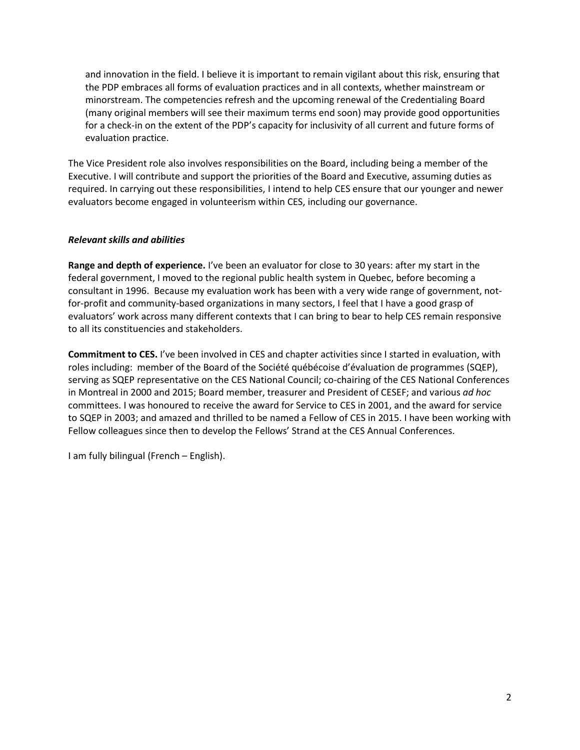and innovation in the field. I believe it is important to remain vigilant about this risk, ensuring that the PDP embraces all forms of evaluation practices and in all contexts, whether mainstream or minorstream. The competencies refresh and the upcoming renewal of the Credentialing Board (many original members will see their maximum terms end soon) may provide good opportunities for a check-in on the extent of the PDP's capacity for inclusivity of all current and future forms of evaluation practice.

The Vice President role also involves responsibilities on the Board, including being a member of the Executive. I will contribute and support the priorities of the Board and Executive, assuming duties as required. In carrying out these responsibilities, I intend to help CES ensure that our younger and newer evaluators become engaged in volunteerism within CES, including our governance.

# *Relevant skills and abilities*

**Range and depth of experience.** I've been an evaluator for close to 30 years: after my start in the federal government, I moved to the regional public health system in Quebec, before becoming a consultant in 1996. Because my evaluation work has been with a very wide range of government, notfor-profit and community-based organizations in many sectors, I feel that I have a good grasp of evaluators' work across many different contexts that I can bring to bear to help CES remain responsive to all its constituencies and stakeholders.

**Commitment to CES.** I've been involved in CES and chapter activities since I started in evaluation, with roles including: member of the Board of the Société québécoise d'évaluation de programmes (SQEP), serving as SQEP representative on the CES National Council; co-chairing of the CES National Conferences in Montreal in 2000 and 2015; Board member, treasurer and President of CESEF; and various *ad hoc* committees. I was honoured to receive the award for Service to CES in 2001, and the award for service to SQEP in 2003; and amazed and thrilled to be named a Fellow of CES in 2015. I have been working with Fellow colleagues since then to develop the Fellows' Strand at the CES Annual Conferences.

I am fully bilingual (French – English).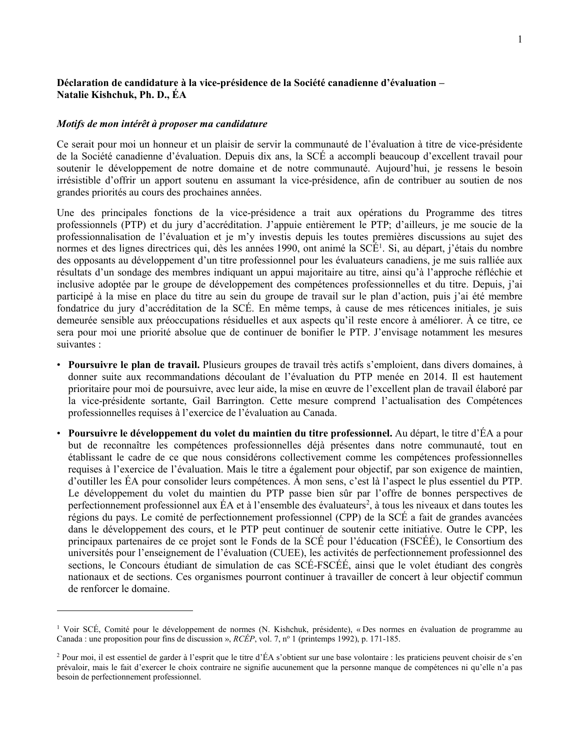## **Déclaration de candidature à la vice-présidence de la Société canadienne d'évaluation – Natalie Kishchuk, Ph. D., ÉA**

#### *Motifs de mon intérêt à proposer ma candidature*

l

Ce serait pour moi un honneur et un plaisir de servir la communauté de l'évaluation à titre de vice-présidente de la Société canadienne d'évaluation. Depuis dix ans, la SCÉ a accompli beaucoup d'excellent travail pour soutenir le développement de notre domaine et de notre communauté. Aujourd'hui, je ressens le besoin irrésistible d'offrir un apport soutenu en assumant la vice-présidence, afin de contribuer au soutien de nos grandes priorités au cours des prochaines années.

Une des principales fonctions de la vice-présidence a trait aux opérations du Programme des titres professionnels (PTP) et du jury d'accréditation. J'appuie entièrement le PTP; d'ailleurs, je me soucie de la professionnalisation de l'évaluation et je m'y investis depuis les toutes premières discussions au sujet des normes et des lignes directrices qui, dès les années 1990, ont animé la SCÉ<sup>1</sup>. Si, au départ, j'étais du nombre des opposants au développement d'un titre professionnel pour les évaluateurs canadiens, je me suis ralliée aux résultats d'un sondage des membres indiquant un appui majoritaire au titre, ainsi qu'à l'approche réfléchie et inclusive adoptée par le groupe de développement des compétences professionnelles et du titre. Depuis, j'ai participé à la mise en place du titre au sein du groupe de travail sur le plan d'action, puis j'ai été membre fondatrice du jury d'accréditation de la SCÉ. En même temps, à cause de mes réticences initiales, je suis demeurée sensible aux préoccupations résiduelles et aux aspects qu'il reste encore à améliorer. À ce titre, ce sera pour moi une priorité absolue que de continuer de bonifier le PTP. J'envisage notamment les mesures suivantes :

- **Poursuivre le plan de travail.** Plusieurs groupes de travail très actifs s'emploient, dans divers domaines, à donner suite aux recommandations découlant de l'évaluation du PTP menée en 2014. Il est hautement prioritaire pour moi de poursuivre, avec leur aide, la mise en œuvre de l'excellent plan de travail élaboré par la vice-présidente sortante, Gail Barrington. Cette mesure comprend l'actualisation des Compétences professionnelles requises à l'exercice de l'évaluation au Canada.
- **Poursuivre le développement du volet du maintien du titre professionnel.** Au départ, le titre d'ÉA a pour but de reconnaître les compétences professionnelles déjà présentes dans notre communauté, tout en établissant le cadre de ce que nous considérons collectivement comme les compétences professionnelles requises à l'exercice de l'évaluation. Mais le titre a également pour objectif, par son exigence de maintien, d'outiller les ÉA pour consolider leurs compétences. À mon sens, c'est là l'aspect le plus essentiel du PTP. Le développement du volet du maintien du PTP passe bien sûr par l'offre de bonnes perspectives de perfectionnement professionnel aux ÉA et à l'ensemble des évaluateurs<sup>2</sup>, à tous les niveaux et dans toutes les régions du pays. Le comité de perfectionnement professionnel (CPP) de la SCÉ a fait de grandes avancées dans le développement des cours, et le PTP peut continuer de soutenir cette initiative. Outre le CPP, les principaux partenaires de ce projet sont le Fonds de la SCÉ pour l'éducation (FSCÉÉ), le Consortium des universités pour l'enseignement de l'évaluation (CUEE), les activités de perfectionnement professionnel des sections, le Concours étudiant de simulation de cas SCÉ-FSCÉÉ, ainsi que le volet étudiant des congrès nationaux et de sections. Ces organismes pourront continuer à travailler de concert à leur objectif commun de renforcer le domaine.

<sup>1</sup> Voir SCÉ, Comité pour le développement de normes (N. Kishchuk, présidente), « Des normes en évaluation de programme au Canada : une proposition pour fins de discussion », *RCÉP*, vol. 7, n<sup>o</sup> 1 (printemps 1992), p. 171-185.

<sup>2</sup> Pour moi, il est essentiel de garder à l'esprit que le titre d'ÉA s'obtient sur une base volontaire : les praticiens peuvent choisir de s'en prévaloir, mais le fait d'exercer le choix contraire ne signifie aucunement que la personne manque de compétences ni qu'elle n'a pas besoin de perfectionnement professionnel.